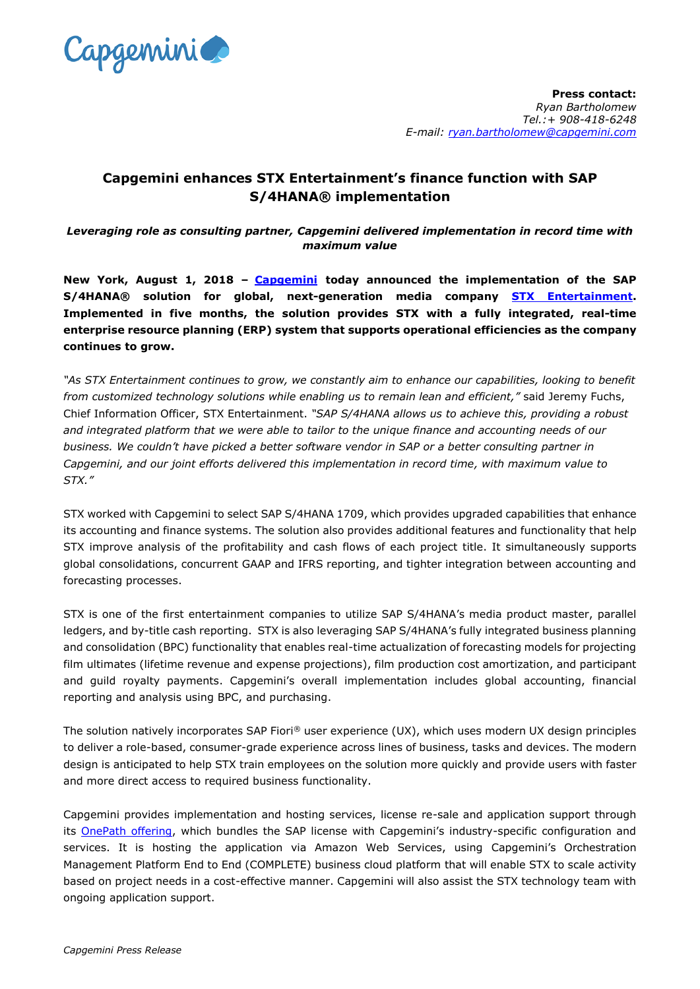

## **Capgemini enhances STX Entertainment's finance function with SAP S/4HANA® implementation**

*Leveraging role as consulting partner, Capgemini delivered implementation in record time with maximum value*

**New York, August 1, 2018 – [Capgemini](https://www.capgemini.com/) today announced the implementation of the SAP S/4HANA® solution for global, next-generation media company [STX Entertainment.](https://www.stxentertainment.com/) Implemented in five months, the solution provides STX with a fully integrated, real-time enterprise resource planning (ERP) system that supports operational efficiencies as the company continues to grow.** 

*"As STX Entertainment continues to grow, we constantly aim to enhance our capabilities, looking to benefit from customized technology solutions while enabling us to remain lean and efficient,"* said Jeremy Fuchs, Chief Information Officer, STX Entertainment. *"SAP S/4HANA allows us to achieve this, providing a robust and integrated platform that we were able to tailor to the unique finance and accounting needs of our business. We couldn't have picked a better software vendor in SAP or a better consulting partner in Capgemini, and our joint efforts delivered this implementation in record time, with maximum value to STX."*

STX worked with Capgemini to select SAP S/4HANA 1709, which provides upgraded capabilities that enhance its accounting and finance systems. The solution also provides additional features and functionality that help STX improve analysis of the profitability and cash flows of each project title. It simultaneously supports global consolidations, concurrent GAAP and IFRS reporting, and tighter integration between accounting and forecasting processes.

STX is one of the first entertainment companies to utilize SAP S/4HANA's media product master, parallel ledgers, and by-title cash reporting. STX is also leveraging SAP S/4HANA's fully integrated business planning and consolidation (BPC) functionality that enables real-time actualization of forecasting models for projecting film ultimates (lifetime revenue and expense projections), film production cost amortization, and participant and guild royalty payments. Capgemini's overall implementation includes global accounting, financial reporting and analysis using BPC, and purchasing.

The solution natively incorporates SAP Fiori® user experience (UX), which uses modern UX design principles to deliver a role-based, consumer-grade experience across lines of business, tasks and devices. The modern design is anticipated to help STX train employees on the solution more quickly and provide users with faster and more direct access to required business functionality.

Capgemini provides implementation and hosting services, license re-sale and application support through its [OnePath offering](https://www.capgemini.com/sap/sap-onepath), which bundles the SAP license with Capgemini's industry-specific configuration and services. It is hosting the application via Amazon Web Services, using Capgemini's Orchestration Management Platform End to End (COMPLETE) business cloud platform that will enable STX to scale activity based on project needs in a cost-effective manner. Capgemini will also assist the STX technology team with ongoing application support.